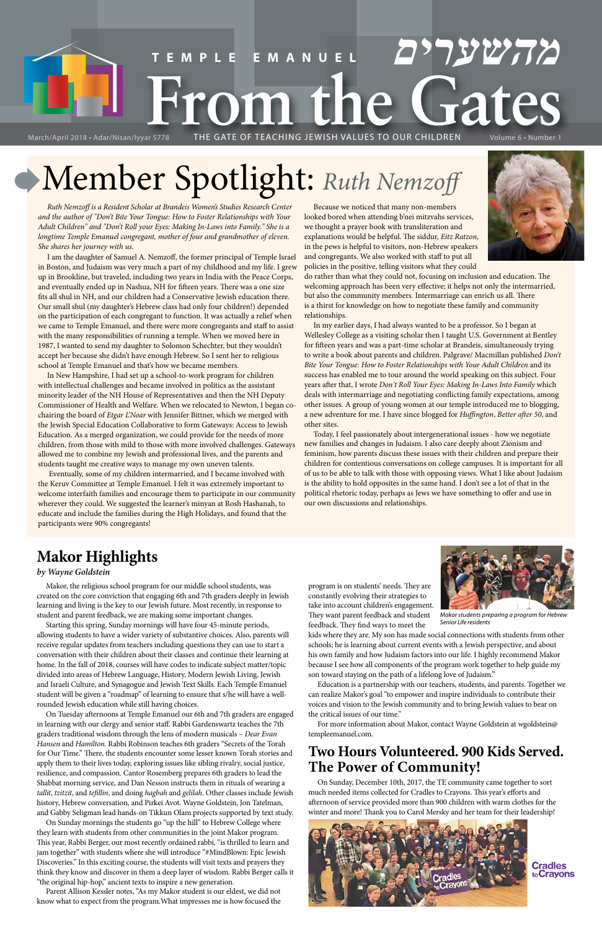# March/April 2018 - Adar/Nisan/lyyar 5778<br>March/April 2018 - Adar/Nisan/lyyar 5778<br>THE GATE OF TEACHING JEWISH VALUES TO OUR CHILDREN Volume 6 - Number 1 **TEMPLE EMANUEL מהשערים** March/April 2018 • Adar/Nisan/Iyyar 5778 THE GATE OF TEACHING JEWISH VALUES TO OUR CHILDREN Volume 6 • Number 1

# Member Spotlight: *Ruth Nemzoff*

*Ruth Nemzoff is a Resident Scholar at Brandeis Women's Studies Research Center and the author of "Don't Bite Your Tongue: How to Foster Relationships with Your Adult Children" and "Don't Roll your Eyes: Making In-Laws into Family." She is a*  longtime Temple Emanuel congregant, mother of four and grandmother of eleven. *She shares her journey with us.*

I am the daughter of Samuel A. Nemzoff, the former principal of Temple Israel in Boston, and Judaism was very much a part of my childhood and my life. I grew up in Brookline, but traveled, including two years in India with the Peace Corps, and eventually ended up in Nashua, NH for fifteen years. There was a one size fits all shul in NH, and our children had a Conservative Jewish education there. Our small shul (my daughter's Hebrew class had only four children!) depended on the participation of each congregant to function. It was actually a relief when we came to Temple Emanuel, and there were more congregants and staff to assist with the many responsibilities of running a temple. When we moved here in 1987, I wanted to send my daughter to Solomon Schechter, but they wouldn't accept her because she didn't have enough Hebrew. So I sent her to religious school at Temple Emanuel and that's how we became members.

In New Hampshire, I had set up a school-to-work program for children with intellectual challenges and became involved in politics as the assistant minority leader of the NH House of Representatives and then the NH Deputy Commissioner of Health and Welfare. When we relocated to Newton, I began cochairing the board of *Etgar L'Noar* with Jennifer Bittner, which we merged with the Jewish Special Education Collaborative to form Gateways: Access to Jewish Education. As a merged organization, we could provide for the needs of more children, from those with mild to those with more involved challenges. Gateways allowed me to combine my Jewish and professional lives, and the parents and students taught me creative ways to manage my own uneven talents.

 Eventually, some of my children intermarried, and I became involved with the Keruv Committee at Temple Emanuel. I felt it was extremely important to welcome interfaith families and encourage them to participate in our community wherever they could. We suggested the learner's minyan at Rosh Hashanah, to educate and include the families during the High Holidays, and found that the participants were 90% congregants!

Because we noticed that many non-members looked bored when attending b'nei mitzvahs services, we thought a prayer book with transliteration and explanations would be helpful. The siddur, *Eitz Ratzon*, in the pews is helpful to visitors, non-Hebrew speakers and congregants. We also worked with staff to put all policies in the positive, telling visitors what they could

do rather than what they could not, focusing on inclusion and education. The welcoming approach has been very effective; it helps not only the intermarried, but also the community members. Intermarriage can enrich us all. There is a thirst for knowledge on how to negotiate these family and community relationships.

In my earlier days, I had always wanted to be a professor. So I began at Wellesley College as a visiting scholar then I taught U.S. Government at Bentley for fifteen years and was a part-time scholar at Brandeis, simultaneously trying to write a book about parents and children. Palgrave/ Macmillan published *Don't Bite Your Tongue: How to Foster Relationships with Your Adult Children* and its success has enabled me to tour around the world speaking on this subject. Four years after that, I wrote *Don't Roll Your Eyes: Making In-Laws Into Family* which deals with intermarriage and negotiating conflicting family expectations, among other issues. A group of young women at our temple introduced me to blogging, a new adventure for me. I have since blogged for *Huffington*, *Better after 50*, and other sites.

Today, I feel passionately about intergenerational issues - how we negotiate new families and changes in Judaism. I also care deeply about Zionism and feminism, how parents discuss these issues with their children and prepare their children for contentious conversations on college campuses. It is important for all of us to be able to talk with those with opposing views. What I like about Judaism is the ability to hold opposites in the same hand. I don't see a lot of that in the political rhetoric today, perhaps as Jews we have something to offer and use in our own discussions and relationships.

# **Makor Highlights**

# *by Wayne Goldstein*

Makor, the religious school program for our middle school students, was created on the core conviction that engaging 6th and 7th graders deeply in Jewish learning and living is the key to our Jewish future. Most recently, in response to student and parent feedback, we are making some important changes.

Starting this spring, Sunday mornings will have four 45-minute periods, allowing students to have a wider variety of substantive choices. Also, parents will receive regular updates from teachers including questions they can use to start a conversation with their children about their classes and continue their learning at home. In the fall of 2018, courses will have codes to indicate subject matter/topic divided into areas of Hebrew Language, History, Modern Jewish Living, Jewish and Israeli Culture, and Synagogue and Jewish Text Skills. Each Temple Emanuel student will be given a "roadmap" of learning to ensure that s/he will have a wellrounded Jewish education while still having choices. On Tuesday afternoons at Temple Emanuel our 6th and 7th graders are engaged in learning with our clergy and senior staff. Rabbi Gardenswartz teaches the 7th graders traditional wisdom through the lens of modern musicals – *Dear Evan Hansen* and *Hamilton.* Rabbi Robinson teaches 6th graders "Secrets of the Torah for Our Time." There, the students encounter some lesser known Torah stories and apply them to their lives today, exploring issues like sibling rivalry, social justice, resilience, and compassion. Cantor Rosemberg prepares 6th graders to lead the Shabbat morning service, and Dan Nesson instructs them in rituals of wearing a *tallit*, *tzitzit*, and *tefillin*, and doing *hagbah* and *gelilah*. Other classes include Jewish history, Hebrew conversation, and Pirkei Avot. Wayne Goldstein, Jon Tatelman, and Gabby Seligman lead hands-on Tikkun Olam projects supported by text study. On Sunday mornings the students go "up the hill" to Hebrew College where they learn with students from other communities in the joint Makor program. This year, Rabbi Berger, our most recently ordained rabbi, "is thrilled to learn and jam together" with students where she will introduce "#MindBlown: Epic Jewish Discoveries." In this exciting course, the students will visit texts and prayers they think they know and discover in them a deep layer of wisdom. Rabbi Berger calls it "the original hip-hop," ancient texts to inspire a new generation.

Parent Allison Kessler notes, "As my Makor student is our eldest, we did not know what to expect from the program.What impresses me is how focused the program is on students' needs. They are constantly evolving their strategies to take into account children's engagement. They want parent feedback and student feedback. They find ways to meet the

kids where they are. My son has made social connections with students from other schools; he is learning about current events with a Jewish perspective, and about his own family and how Judaism factors into our life. I highly recommend Makor because I see how all components of the program work together to help guide my son toward staying on the path of a lifelong love of Judaism."



Education is a partnership with our teachers, students, and parents. Together we can realize Makor's goal "to empower and inspire individuals to contribute their voices and vision to the Jewish community and to bring Jewish values to bear on the critical issues of our time."

For more information about Makor, contact Wayne Goldstein at wgoldstein@ templeemanuel.com.

# **Two Hours Volunteered. 900 Kids Served. The Power of Community!**

On Sunday, December 10th, 2017, the TE community came together to sort much needed items collected for Cradles to Crayons. This year's efforts and afternoon of service provided more than 900 children with warm clothes for the winter and more! Thank you to Carol Mersky and her team for their leadership!



**Cradles** toCrayons



*Makor students preparIng a program for Hebrew Senior Life residents*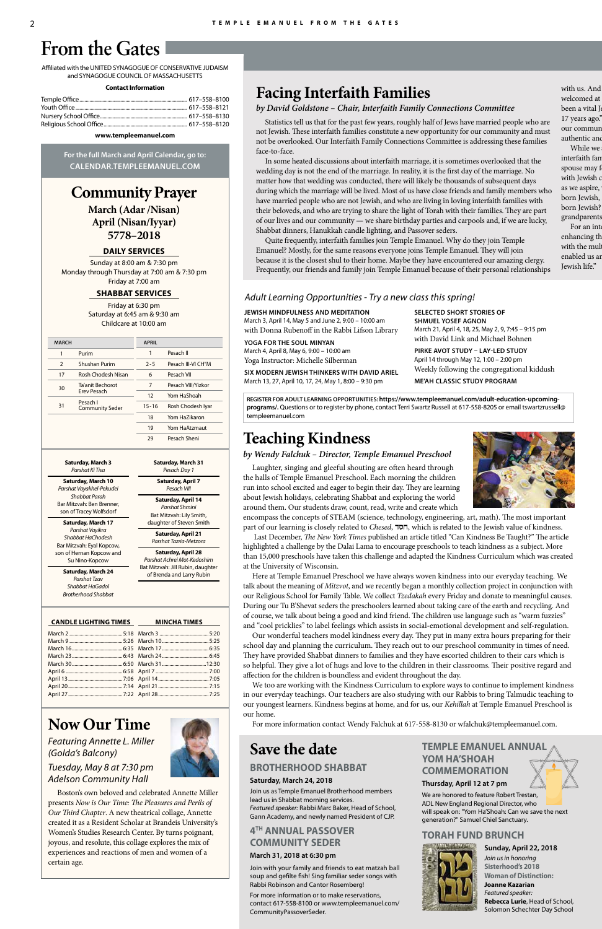# **Community Prayer**

**March (Adar /Nisan) April (Nisan/Iyyar) 5778–2018**

### **DAILY SERVICES**

Sunday at 8:00 am & 7:30 pm Monday through Thursday at 7:00 am & 7:30 pm Friday at 7:00 am

### **SHABBAT SERVICES**

Friday at 6:30 pm Saturday at 6:45 am & 9:30 am Childcare at 10:00 am

Affiliated with the UNITED SYNAGOGUE OF CONSERVATIVE JUDAISM and SYNAGOGUE COUNCIL OF MASSACHUSETTS

#### **Contact Information**

#### **www.templeemanuel.com**

**For the full March and April Calendar, go to: CALENDAR.TEMPLEEMANUEL.COM**

# **From the Gates**

# **Facing Interfaith Families**

# *by David Goldstone – Chair, Interfaith Family Connections Committee*

Statistics tell us that for the past few years, roughly half of Jews have married people who are not Jewish. These interfaith families constitute a new opportunity for our community and must not be overlooked. Our Interfaith Family Connections Committee is addressing these families face-to-face.

In some heated discussions about interfaith marriage, it is sometimes overlooked that the wedding day is not the end of the marriage. In reality, it is the first day of the marriage. No matter how that wedding was conducted, there will likely be thousands of subsequent days during which the marriage will be lived. Most of us have close friends and family members who have married people who are not Jewish, and who are living in loving interfaith families with their beloveds, and who are trying to share the light of Torah with their families. They are part of our lives and our community — we share birthday parties and carpools and, if we are lucky, Shabbat dinners, Hanukkah candle lighting, and Passover seders.

enhancing the with the mul enabled us are Jewish life."

Quite frequently, interfaith families join Temple Emanuel. Why do they join Temple Emanuel? Mostly, for the same reasons everyone joins Temple Emanuel. They will join because it is the closest shul to their home. Maybe they have encountered our amazing clergy. Frequently, our friends and family join Temple Emanuel because of their personal relationships

# with us. And welcomed at been a vital J 17 years ago." our commun authentic and

While we interfaith fan spouse may f with Jewish c as we aspire, born Jewish, born Jewish? grandparents For an interface

encompass the concepts of STEAM (science, technology, engineering, art, math). The most important part of our learning is closely related to *Chesed*, חסד, which is related to the Jewish value of kindness.

### **CANDLE LIGHTING TIMES**

**MINCHA TIMES**

#### **Saturday, March 3** *Parshat Ki Tisa*

**Saturday, March 10** *Parshat Vayakhel-Pekudei Shabbat Parah* Bar Mitzvah: Ben Brenner, son of Tracey Wolfsdorf

**Saturday, March 17** *Parshat Vayikra Shabbat HaChodesh* Bar Mitzvah: Eyal Kopcow, son of Hernan Kopcow and Su Nino-Kopcow

> **Saturday, March 24** *Parshat Tzav Shabbat HaGadol Brotherhood Shabbat*

**Saturday, March 31** *Pesach Day 1* **Saturday, April 7** *Pesach VIII* **Saturday, April 14** *Parshat Shmini* Bat Mitzvah: Lily Smith, daughter of Steven Smith **Saturday, April 21** *Parshat Tazria-Metzora* **Saturday, April 28** *Parshat Achrei Mot-Kedoshim* Bat Mitzvah: Jill Rubin, daughter of Brenda and Larry Rubin

# **Save the date**

# **BROTHERHOOD SHABBAT**

# **Saturday, March 24, 2018**

Join us as Temple Emanuel Brotherhood members lead us in Shabbat morning services. *Featured speaker:* Rabbi Marc Baker, Head of School, Gann Academy, and newly named President of CJP.

# **4TH ANNUAL PASSOVER COMMUNITY SEDER**

# **March 31, 2018 at 6:30 pm**

Join with your family and friends to eat matzah ball soup and gefilte fish! Sing familiar seder songs with Rabbi Robinson and Cantor Rosemberg!

For more information or to make reservations, contact 617-558-8100 or www.templeemanuel.com/ CommunityPassoverSeder.

**TEMPLE EMANUEL ANNUAL YOM HA'SHOAH COMMEMORATION**

**Thursday, April 12 at 7 pm**

We are honored to feature Robert Trestan, ADL New England Regional Director, who will speak on: "Yom Ha'Shoah: Can we save the next generation?" Samuel Chiel Sanctuary.

# **TORAH FUND BRUNCH**



# **Sunday, April 22, 2018**

*Join us in honoring* **Sisterhood's 2018 Woman of Distinction: Joanne Kazarian** *Featured speaker:* **Rebecca Lurie**, Head of School, Solomon Schechter Day School

| <b>MARCH</b> |                                    | <b>APRIL</b> |                    |
|--------------|------------------------------------|--------------|--------------------|
| 1            | Purim                              | 1            | Pesach II          |
| 2            | <b>Shushan Purim</b>               | $2 - 5$      | Pesach III-VI CH"M |
| 17           | Rosh Chodesh Nisan                 | 6            | Pesach VII         |
| 30           | Ta'anit Bechorot                   | 7            | Pesach VIII/Yizkor |
|              | <b>Erev Pesach</b>                 | 12           | Yom HaShoah        |
| 31           | Pesach I<br><b>Community Seder</b> | $15 - 16$    | Rosh Chodesh Iyar  |
|              |                                    | 18           | Yom Ha7ikaron      |
|              |                                    | 19           | Yom HaAtzmaut      |
|              |                                    | 29           | Pesach Sheni       |
|              |                                    |              |                    |

# **Now Our Time**

*Featuring Annette L. Miller (Golda's Balcony)*

*Tuesday, May 8 at 7:30 pm Adelson Community Hall*

Boston's own beloved and celebrated Annette Miller presents *Now is Our Time: The Pleasures and Perils of Our Third Chapter*. A new theatrical collage, Annette created it as a Resident Scholar at Brandeis University's Women's Studies Research Center. By turns poignant, joyous, and resolute, this collage explores the mix of experiences and reactions of men and women of a certain age.



# **Teaching Kindness**

# *by Wendy Falchuk – Director, Temple Emanuel Preschool*

Laughter, singing and gleeful shouting are often heard through the halls of Temple Emanuel Preschool. Each morning the children run into school excited and eager to begin their day. They are learning about Jewish holidays, celebrating Shabbat and exploring the world around them. Our students draw, count, read, write and create which

 Last December, *The New York Times* published an article titled "Can Kindness Be Taught?" The article highlighted a challenge by the Dalai Lama to encourage preschools to teach kindness as a subject. More than 15,000 preschools have taken this challenge and adapted the Kindness Curriculum which was created at the University of Wisconsin.

Here at Temple Emanuel Preschool we have always woven kindness into our everyday teaching. We talk about the meaning of *Mitzvot*, and we recently began a monthly collection project in conjunction with our Religious School for Family Table. We collect *Tzedakah* every Friday and donate to meaningful causes. During our Tu B'Shevat seders the preschoolers learned about taking care of the earth and recycling. And of course, we talk about being a good and kind friend. The children use language such as "warm fuzzies" and "cool pricklies" to label feelings which assists in social-emotional development and self-regulation.

Our wonderful teachers model kindness every day. They put in many extra hours preparing for their school day and planning the curriculum. They reach out to our preschool community in times of need. They have provided Shabbat dinners to families and they have escorted children to their cars which is so helpful. They give a lot of hugs and love to the children in their classrooms. Their positive regard and affection for the children is boundless and evident throughout the day.





We too are working with the Kindness Curriculum to explore ways to continue to implement kindness in our everyday teachings. Our teachers are also studying with our Rabbis to bring Talmudic teaching to our youngest learners. Kindness begins at home, and for us, our *Kehillah* at Temple Emanuel Preschool is our home.

For more information contact Wendy Falchuk at 617-558-8130 or wfalchuk@templeemanuel.com.

**REGISTER FOR ADULT LEARNING OPPORTUNITIES: https://www.templeemanuel.com/adult-education-upcomingprograms/.** Questions or to register by phone, contact Terri Swartz Russell at 617-558-8205 or email tswartzrussell@ templeemanuel.com

### **JEWISH MINDFULNESS AND MEDITATION**

March 3, April 14, May 5 and June 2, 9:00 – 10:00 am with Donna Rubenoff in the Rabbi Lifson Library

## **YOGA FOR THE SOUL MINYAN**

March 4, April 8, May 6, 9:00 – 10:00 am Yoga Instructor: Michelle Silberman

**SIX MODERN JEWISH THINKERS WITH DAVID ARIEL** March 13, 27, April 10, 17, 24, May 1, 8:00 – 9:30 pm

**SELECTED SHORT STORIES OF SHMUEL YOSEF AGNON** March 21, April 4, 18, 25, May 2, 9, 7:45 – 9:15 pm with David Link and Michael Bohnen

**PIRKE AVOT STUDY – LAY-LED STUDY** April 14 through May 12, 1:00 – 2:00 pm Weekly following the congregational kiddush

**ME'AH CLASSIC STUDY PROGRAM**

# *Adult Learning Opportunities - Try a new class this spring!*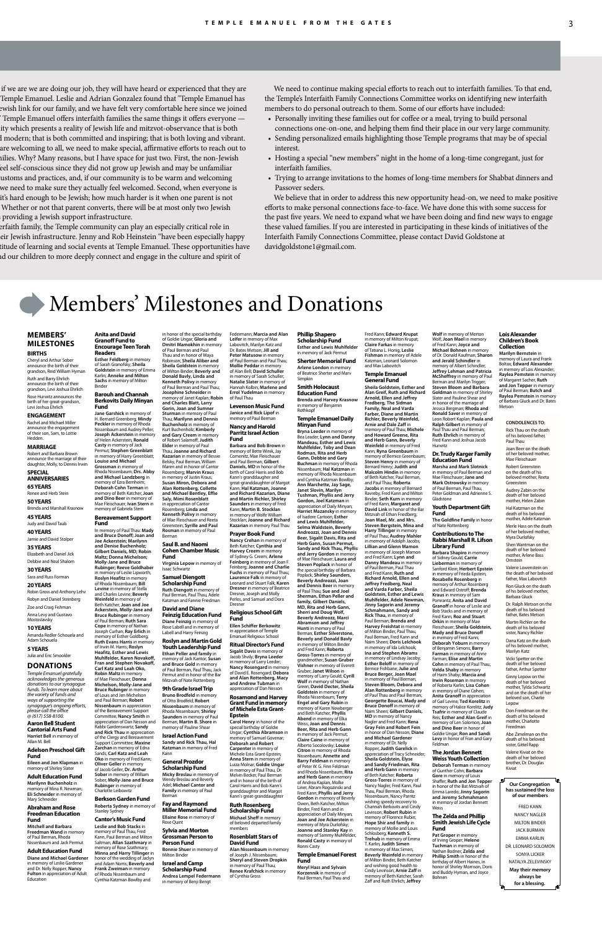if we are we are doing our job, they will have heard or experienced that they are Temple Emanuel. Leslie and Adrian Gonzalez found that "Temple Emanuel has ewish link for our family, and we have felt very comfortable here since we joined Temple Emanuel offers interfaith families the same things it offers everyone ity which presents a reality of Jewish life and mitzvot-observance that is both d modern; that is both committed and inspiring; that is both loving and vibrant. are welcoming to all, we need to make special, affirmative efforts to reach out to nilies. Why? Many reasons, but I have space for just two. First, the non-Jewish eel self-conscious since they did not grow up Jewish and may be unfamiliar ustoms and practices, and, if our community is to be warm and welcoming we need to make sure they actually feel welcomed. Second, when everyone is it's hard enough to be Jewish; how much harder is it when one parent is not Whether or not that parent converts, there will be at most only two Jewish providing a Jewish support infrastructure.

erfaith family, the Temple community can play an especially critical role in eir Jewish infrastructure. Jenny and Rob Heinstein "have been especially happy titude of learning and social events at Temple Emanuel. These opportunities have hd our children to more deeply connect and engage in the culture and spirit of

# Members' Milestones and Donations

### **MEMBERS' MILESTONES BIRTHS**

Cheryl and Arthur Sober announce the birth of their grandson, Reid William Hyman Ruth and Barry Ehrlich announce the birth of their grandson, Levi Joshua Ehrlich Rose Hurwitz announces the

birth of her great-grandson, Levi Joshua Ehrlich

#### **ENGAGEMENT** Rachel and Michael Miller

announce the engagement of their son, Sam, to Lottie Hedden.

### **MARRIAGE**

### **Mostoslavsky 10 YEARS**

Robert and Barbara Brown announce the marriage of their daughter, Molly, to Dennis Irwin **SPECIAL** 

#### **ANNIVERSARIES 65 YEARS**

Renee and Herb Stein **50 YEARS**

#### Brenda and Marshall Krasnow

**45 YEARS** Judy and David Taub

**40 YEARS** Jamie and David Stolper

#### **35 YEARS**

Elizabeth and Daniel Jick Debbie and Neal Shalom **30 YEARS** Sara and Russ Forman **20 YEARS**

### Robin Gross and Anthony Lehv

Robyn and Daniel Steinberg Zoe and Craig Fishman Anna Levy and Gustavo

Amanda Redler-Schouela and Adam Schouela

#### **5 YEARS** Julia and Eric Smookler

**DONATIONS** *Temple Emanuel gratefully acknowledges the generous*

*donations to our synagogue funds. To learn more about the variety of funds and ways of supporting the synagogue's ongoing efforts, please call the office @ (617) 558-8100.*

#### **Aaron Bell Student Cantorial Arts Fund**

**Harriet Bell** in memory of Allan M. Bell

#### **Adelson Preschool Gift Fund**

**Eileen and Jon Klapman** in memory of Shirley Slater

**Adult Education Fund Marilynn Buchenholz** in memory of Mina R. Newman; **Eli Schneider** in memory of Mary Schneider

#### **Abraham and Rose Freedman Education Fund**

**Mitchell and Barbara Freedman Wand** in memory of Paul Berman, Rhoda Nissenbaum and Jack Permut

### **Adult Education Fund**

**Diane and Michael Gardener** in memory of Leslie Gardener and Dr. Nelly Ropper; **Nancy Fulton** in appreciation of Adult Education

of Paul Berman and Paul Thau and in honor of Maya

**Donald Bavly, Linda and** 

**Josephine Schneider** in

**Gorin, Joan and Sumner** 

**Levenson Music Fund Janice and Rick Lipof** in memory of Paul Be

### **Cohen Chamber Music Fund**

#### **Samuel Diengott Scholarship Fund**

**Ruth Diengott** in memory of Paul Berman, Paul Thau, Adele Katzman and Fannie Friedman

> **Michael Sheff** in memory of beloved departed family mbers

in honor of the special birthday of Goldie Ungar; **Gloria and Dmitri Mamokhin** in memory Robinson; **Sheila Aliber and Sheila Goldstein** in memory of Milton Binder; **Beverly and Kenneth Polivy** in memory of Paul Berman and Paul Thau; memory of Janet Kaplan; **Robin and Charles Blatt, Larry**  Federmann; **Marcia and Alan Leifer** in memory of Max Labovitch, Marilyn Katz and Dr. Bates Metson; **Jill and Peter Matusow** in memory of Paul Berman and Paul Thau;<br>**Mollie Peddar** in memory **Mollie Peddar** in memory of Alan Bell; **David Schuller** in memory of Sarah Schuller; **Natalie Slater** in memory of Hannah Kolbin; **Marlene and Errol Yudelman** in memory of Paul Thau

**Diane Feinzig** in memory of Rose Labell and in memory of Labell and Harry Feinzig

Permut and in honor of the Bar Mitzvah of Nate Rottenberg **9th Grade Israel Trip Bruno Brodfeld** in memory of Otto Brodfeld; **Robert Nissenbaum** in memory of Rhoda Nissenbaum; **Shirley Saunders** in memory of Paul Berman; **Martin B. Shore** in memory of Pauline Shear **Israel Action Fund Sandy and Rick Thau, Hal Katzman** in memory of Fred

Kann

Berman

**Fay and Raymond Miller Memorial Fund Ellaine Rose** in memory of

Rose Quint **Sylvia and Morton Grossman Person to**  memory of Larry Gould; **Cyrill Wolf** in memory of Nat

**Scholarship Fund**

in memory of Benji Bengt

**Meryl Hass and Sylvain Korzennik** in memory of Paul Berman, Paul Thau and

#### **Nancy and Harold Parritz Israel Action Fund**

**Barbara and Bob Brown** in memory of Bette Winik, Jay Comenitz, Mae Fleischauer and Paul Berman; **Gilbert Daniels, MD** in honor of the birth of Carol Harris and Bob Kann's granddaugher and great-granddaughter of Margot Kann; **Hal Katzman, Joanne and Richard Kazarian, Diane and Martin Richler, Shirley Saunders** in memory of Fred Kann; **Martin B. Stocklan** in memory of Wolfe William Stocklan; **Joanne and Richard Kazarian** in memory Paul Thau

#### **Prayer Book Fund Nancy Crehan** in memory of Beth Katcher; **Cynthia and Harvey Creem** in memory

of Sydney G. Creem; **Arlene Feinberg** in memory of Joan F. Feinberg; **Joanne and Charlie Fuchs** in memory of Paul Thau; **Laurence Falk** in memory of Leonard and Stuart Falk; **Karen Dresner** in memory of Beatrice Dresner, Joseph and Molly Perles, and Samuel and Dora Dresner

#### **Religious School Gift Fund**

**Ellen Schiffer Berkowitz** in appreciation of Temple Emanuel Religious School

> **Ritual Director's Fund Sigalit Davis** in memory of Jacob Shvily; **Bryna Leeder** in memory of Larry Leeder;

> > **Nancy Rosengard** in memory of David E. Rosengard; **Debora**

> > **and Alan Rottenberg, Macy and Andrew Tubman** in appreciation of Dan Nesson

#### **Rosamond and Harvey Grant Fund in memory of Michele Esta Grant-Epstein**

**Carol Henry** in honor of the special birthday of Goldie Ungar; **Cynthia Abramson** in memory of Samuel Govenar; **Deborah and Robert Carpenter** in memory of Michele Esta Grant-Epstein; **Anna Stern** in memory of Luiza Molnar; **Goldie Ungar** in memory of Paul Thau, Dr. Melvin Becker, Paul Berman and in honor of the birth of Carol Harris and Bob Kann's granddaughter and Margot Kann's great-granddaughter

**Goldman** in memory of Shirley<br>Slater and Pauline Shear and<br>in honor of the marriage of Jessica Bergman; **Rhoda and Ronald Saver** in memory of Leon Robert Kaplan; **Paula and Ralph Gilbert** in memory of Paul Thau and Paul Berman; **Ruth Ehrlich** in memory of Fred Kann and Joshua Jacob Hurwitz

#### **Ruth Rosenberg Scholarship Fund**

#### **Rosenblatt Stars of David Fund**

**Alan Nissenbaum** in memory of Joseph J. Nissenbaum; **Sheryl and Steven Dropkin** in memory of Paul Thau; **Renee Krafchick** in memory of Cynthia Gross

#### **Phillip Shapero Scholarship Fund Esther and Lewis Muhlfelder**

in memory of Jack Permut **Sherter Memorial Fund Arlene London** in memory of Beatrice Sherter and Marv

### Simpkin **Smith Holocaust**

**Education Fund Brenda and Harvey Krasnow** in memory of Benjamin Rothkopf

**Temple Emanuel Daily Minyan Fund Bryna Leeder** in memory of Bea Leader; **Lynn and Danny Mandeau, Esther and Lewis Muhlfelder, Toby and Dean Rodman, Rita and Herb Gann, Debbie and Gary Buchman** in memory of Rhoda<br>Nissenbaum; **Hal Katzman** in<br>memory of Rhoda Nissenbaum and Cynthia Katzman Bowlby; **Ann Marchette, Jay Sage, Janet Slovin, Marilyn Tushman, Phyllis and Jerry Gordon, Joel Katzman** in appreciation of Daily Minyan; **Harriet Mazansky** in memory of Isadore Cartoon; **Esther and Lewis Muhlfelder, Selma Waldstein, Beverly Andreozzi, Joan and Dennis Beer, Sigalit Davis, Rita and Herb Gann, Susan Permut, Sandy and Rick Thau, Phyllis and Jerry Gordon** in memory of Mae Fleischauer; **Laura and Steven Poplack** in honor of the special birthday of Barbara Poplack; **Shirley Saunders, Beverly Andreozzi, Joan and Dennis Beer** in memory of Paul Thau; **Sue and Joel Sherman, Ethan Peller and** 

**family, Gilbert Daniels, MD, Rita and Herb Gann, Sherri and Doug Wolf, Beverly Andreozz, Marci Abramson and Jeffrey Hunti** in memory of Paul Berman; **Esther Silverstone, Beverly and Donald Bavly** in memory of Milton Binder and Fred Kann; **Roberta Gross-Torres** in memory of grandmother; **Susan Gruber Vishner** in memory of Everett Gruber; **Janet Wilson** in

Green; **David Decter, Sheila Goldstein** in memory of Rhoda Nissenbaum; **Terry Engel and Gary Rubin** in memory of Karen Newberge and Beth Katcher; **Phyllis Abend** in memory of Elka Weiss; **Joan and Dennis Beer, Rita and Herb Gann** in memory of Jack Permut; **Claire Caine** in memory of Alberto Socolovsky; **Louise Citron** in memory of Rhoda Nissenbaum; **Annette and Barry Feldman** in memory of Peter W. G. Finn Feldman and Rhoda Nissenbaum; **Rita and Herb Gann** in memory of Andrea Kaplan, Mollie Liner, Abram Rogozinski and Fred Kann; **Phyllis and Jerry Gordon** in memory of Beverly Owen, Beth Katcher, Milton Binder, Fred Kann and in appreciation of Daily Minyan; **Joan and Joe Ackerstein** in memory of Myra Durlofsky; **Joanne and Stanley Kay** in memory of Sammy Muhlfelder; **Ronald Casty** in memory of Ronni Casty

Robert Greenste on the death of his beloved mother, Reeta Greenstein

**Sturman** in memory of Paul Thau; **Marilynn and Dennis Buchenholz** in memory of Kurt Buchenholz; **Kimberly and Gary Creem** in memory of Robert Salamoff; **Judith Elder** in memory of Paul Thau; **Joanne and Richard Kazarian** in memory of Bessie Belsky, Paul Berman, William Maren and in honor of Cantor Rosemberg; **Marvin Kraus** in memory of Justin Kraus; **Susan Miron, Debora and Alan Rottenberg, Collette and Michael Bentley, Effie Saly, Mimi Rosenblatt** in appreciation of Cantor<br>Rosemberg Linds Rosemberg; **Linda and Kenneth Polivy** in memory of Mae Fleischauer and Reeta **Jane Garshick** in memory of H. Bernard Greenberg; **Mindy Peckler** in memory of Rhoda Nissenbaum and Audrey Peller; **Joseph Ackerstein** in memory of Helen Ackerstein; **Ronald Casty** in memory of Jack Permut; **Stephen Greenblatt** in memory of Harry Greenblatt; **Louise and Michael Grossman** in memory of Rhoda Nissenbaum; **Drs. Abby and Michael Landzberg** in memory of Ezra Bernheim; **Deborah Cohn Terman** in memory of Beth Katcher; **Joan and Dino Beer** in memory of Mae Fleischauer; **Ivan Stern** in memory of Gabriela Stern

#### **Temple Emanuel Forest Fund**

Greenstein; **Syrille and Paul Rosman** in memory of Paul Berman **Saul B. and Naomi**  In memory of Paul Thau: **Mady and Bruce Donoff; Joan and Joe Ackerstein; Marilynn and Denise Buchenholz; Gilbert Daniels, MD; Robin** 

Fred Kann; **Edward Krupat** in memory of Milton Krupat; **Claire Farkas** in memory of Tatiana L. Honig; **Leslie Fishman** in memory of Adele Katzman, Leonard Solomon and Max Labovitch

**Virginia Lepow** in memory of Isaac Schwartz **Rubinger; Reeve Goldhaber** 

#### **Temple Emanuel General Fund**

#### **David and Diane Feinzig Education Fund** Beth Katcher; **Joan and Joe Ackerstein, Molly-Jane and Bruce Rubinger** in memory

#### **Roslyn and Martin Gold Youth Leadership Fund Ethan Peller and family** in memory of Jack Kantor; **Susan and Bruce Gold** in memory of Paul Berman, Paul Thau, Jack memory of Esther Goldberg; **Ruth Evans Harris** in memory of Irwin M. Harris; **Roslyn Heafitz, Esther and Lewis Muhlfelder, Karen Novakoff, Fran and Stephen Novakoff, Carl Katz and Leah Oko,**

**Sheila Goldstein, Esther and Alan Greif, Ruth and Richard Arnold, Ellen and Jeffrey Fredberg, The Sidman Family, Neal and Varda Farber, Diane and Martin Richler, Beverly Weinfeld, Arnie and Dale Zaff** in memory of Paul Thau; **Michele and Howard Greene, Rita and Herb Gann, Beverly Weinfeld** in memory of Fred Kann; **Ryna Greenbaum** in memory of Bernice Greenbaum; **Steven Henry** in memory of Bernard Henry; **Judith and Malcolm Hindin** in memory of Beth Katcher, Paul Berman, and Paul Thau; **Roberta Jacobs** in memory of Bernard Ravreby, Fred Kann and Milton Binder; **Seth Kurn** in memory of Fred Kann; **Margaret and David Link** in honor of the Bar Mitzvah of Ethan Friedberg; **Joan Mael, Mr. and Mrs. Steven Bergstein, Mina and Harry Tillinger** in memory of Paul Thau; **Audrey Mahler** in memory of Adolph Jacobs; **Lillian and Glenn Mamon** in memory of Joseph Mamon and Fred Kann; **Lynn and Danny Mandeau** in memory of Paul Berman, Paul Thau and Fred Kann; **Ruth and Richard Arnold, Ellen and Jeffrey Fredberg, Neal and Varda Farber, Sheila Goldstein, Esther and Lewis Muhlfelder, Adele Newman, Jinny Sagorin and Jeremy Schmahmann, Sandy and Rick Thau,** in memory of Paul Berman; **Brenda and Harvey Freishtat** in memory of Milton Binder, Paul Thau, Paul Berman, Fred Kann and Naim Sheeri; **Doris Lelchook** in memory of Ida Lelchook; **Ina and Stephen Abrams** in memory of Lindsay Jacoby; **Esther Beloff** in memory of Bernice Fishbane; **Julie and** 

**General Prozdor Scholarship Fund Micky Breslau** in memory of Wendy Breslau and Beverly Adel; **Michael Cantor and Family** in memory of Paul **Oko** in memory of Fred Kann; **Oliver Geller** in memory of Jacob Geller; **Dr. Arthur Sober** in memory of William Sober; **Molly-Jane and Bruce Rubinger** in memory of Charlotte Leibowitz

**Person Fund Bonnie Shuer** in memory of Milton Binder **Israel and Camp Andrea Lempel Federmann** Saltman; **Allan Szathmary** in memory of Rose Szathmary; **Minna and Harry Tillinger** in honor of the wedding of Jaclyn and Adam Norris; **Beverly and Frank Zweiman** in memory of Rhoda Nissenbaum and Cynthia Katzman Bowlby and

**Bruce Berger, Joan Mael**

in memory of Paul Berman; **Steven Bloom, Debora and Alan Rottenberg** in memory of Paul Thau and Paul Berman; **Georgette Boucai, Mady and Bruce Donoff** in memory of Naim Sheeri; **Gilbert Daniels, MD** in memory of Nancy Nagler and Fred Kann; **Rena Gray Fein and Robert Fein** in honor of Dan Nesson; **Diane and Michael Gardener** in memory of Dr. Nelly Ropper; **Judith Garelick** in appreciation of Tracy Schneider; **Sheila Goldstein, Elyse and Sandy Friedman, Rita and Herb Gann** in memory of Beth Katcher; **Roberta Gross-Torres** in memory of Nancy Nagler, Fred Kann, Paul Thau, Paul Berman, Rhoda Nissenbaum, Nancy Parritz wishing speedy recovery to Channah Berkovits and Cindy Levinson; **Robert Rubin** in memory of Florence Rubin; **Hope Shir and family** in memory of Mollie and Louis Schlosberg; **Kenneth S. Trehub** in memory of Emma T. Karlin; **Judith Simen** in memory of Max Simen; **Beverly Weinfeld** in memory<br>of Milton Binder, Beth Katcher , Alta.<br>In Rinder, Beth Katcher and wishing good health to Cindy Levinson; **Arnie Zaff** in memory of Beth Katcher, Sarah Zaff and Ruth Ehrlich; **Jeffrey** 

### **Wolf** in memory of Merton Wolf; **Joan Mael** in memory of Fred Kann; **Joyce and Michael Bohnen** in memory of Dr. Donald Kaufman; **Sharon and Jerald Schindler** in memory of Albert Schindler; **Jeffrey Lehman and Patricia McSheffrey** in memory of Paul Berman and Marilyn Trigg **Steven Bloom and Barbara**

#### **Dr. Trudy Karger Family Education Fund**

**Marsha and Mark Slotnick** in memory of Paul Berman and Mae Fleischauer; **Jane and Mark Ostrowsky** in memory of Paul Berman, Paul Thau, Peter Goldman and Adrienne S. Gladstone **Youth Department Gift** 

**Fund The Goldfine Family** in honor of Nate Rottenberg

### **Contributions to The Rabbi Marshall R. Lifson**

**Library Fund Barbara Shapiro** in memory of Sidney Gould; **Carrie Lieberman** in memory of Sanford Klein; **Herbert Epstein** in memory of Frieda Epstein; **Rosabelle Rosenberg** in memory of Arthur Rosenberg and Edward Ostroff; **Brenda Kraus** in memory of Sam Pomrantz; **Anita and David Granoff** in honor of Leslie and Bob Stacks and in memory of Fred Kann; **Roz and Stuart Orkin** in memory of Mae Fleischauer; **Sheila Goldstein, Mady and Bruce Donoff** in memory of Fred Kann; **Deborah Yoburn** in memory of Benjamin Simons; **Barry Farman** in memory of Anne Farman; **Elise and Martin Cohn** in memory of Paul Thau; **Velda Shaby** in memory of Haim Shaby; **Marcia and Irwin Roseman** in memory of Roberta Karlin; **Lisa Cohen**

in memory of Diane Cohen; **Anita Granoff** in appreciation of Gail Levine; **Ted Korelitz** in memory of Halice Korelitz; **Judy Tsafrir** in memory of Claude Reis; **Esther and Alan Greif** in memory of Len Solomon; **Joan and Dino Beer** in honor of Goldie Ungar; **Ron and Sandi Levy** in honor of Fran and Gary Feldman

#### **The Jordan Bennett Weiss Youth Collection**

**Deborah Terman** in memory of Gunther Cohn; **Barbara Gore** in memory of Louis Shaffer; Ruth and Jon Tepper in honor of the Bat Mitzvah of Emma Laredo; **Jinny Sagorin and Jeremy Schmahmann** in memory of Jordan Bennett Weiss

#### **The Zelda and Phillip Smith Jewish Life Cycle**

**Fund Pat Groper** in memory of Irving Groper; **Helene Tuchman** in memory of Nathan Bodner; **Zelda and Phillip Smith** in honor of the birthday of Albert Haines, in honor of Shirley Morrison, Doris and Buddy Hyman, and Joyce Bohnen

**Anita and David Granoff Fund to Encourage Teen Torah Readers**

**Esther Feldberg** in memory of Sarah Granofsky; **Sheila Goldstein** in memory of Emma Karlin; **Anneke and Milton Sachs** in memory of Milton Binder

#### **Barouh and Channah Berkovits Daily Minyan Fund**

#### **Bereavement Support Fund**

**Maltz; Donna Michelson; Molly-Jane and Bruce** 

in memory of Leslie Lipworth; **Roslyn Heafitz** in memory of Rhoda Nissenbaum; **Bill Levine** in memory of Stella and Charles Levine; **Beverly Weinfeld** in memory of

of Paul Berman; **Ruth Sara Cope** in memory of Nathan Joseph Curhan; **Ray Erlich** in

**Robin Maltz** in memory of Mae Fleischauer; **Donna** 

**Michelson, Molly-Jane and Bruce Rubinger** in memory of Louis and Jen Michelson and Paul Berman; **Robert Nissenbaum** in appreciation of the Bereavement Support Committee; **Nancy Smith** in appreciation of Dan Nesson and Rabbi Gardenswartz; **Sandy** 

**and Rick Thau** in appreciation of the Clergy and Bereavement Support Committee; **Maxine Zarchan** in memory of Edna Sands; **Carl Katz and Leah** 

### **Berkson Garden Fund**

**Roberta Sydney** in memory of Stanley Sydney

#### **Cantor's Music Fund Leslie and Bob Stacks** in memory of Paul Thau, Fred Kann, Paul Berman and Milton

**CONDOLENCES TO:** Rick Thau on the death of his beloved father, Paul Thau

#### Joan Beer on the death of her beloved mother, Mae Fleischauer

Audrey Zabin on the death of her beloved mother, Helen Zabin Hal Katzman on the death of his beloved mother, Adele Katzman Merle Hass on the death

of her beloved mother, Myra Durlofsky Sheri Wantman on the

death of her beloved mother, Arlene Bass Ornstein Valerie Lowenstein on

the death of her beloved father, Max Labovitch Ron Gluck on the death of his beloved mother, Barbara Gluck

Dr. Ralph Metson on the death of his beloved father, Bates Metson Martin Richler on the death of his beloved sister, Nancy Richler

Dana Katz on the death of his beloved mother, Marilyn Katz

Vicki Spetter on the death of her beloved father, Arthur Spetter Ginny Lepow on the

death of her beloved mother, Tylda Schwartz and on the death of her beloved son, Charlie Lepow

Don Freedman on the death of his beloved mother, Charlotte Freedman

Abe Zimelman on the death of his beloved sister, Gittel Rapp

Valerie Kiviat on the death of her beloved brother, Dr. Douglas Kiviat

We need to continue making special efforts to reach out to interfaith families. To that end, the Temple's Interfaith Family Connections Committee works on identifying new interfaith members to do personal outreach to them. Some of our efforts have included:

- Personally inviting these families out for coffee or a meal, trying to build personal connections one-on-one, and helping them find their place in our very large community.
- Sending personalized emails highlighting those Temple programs that may be of special interest.
- Hosting a special "new members" night in the home of a long-time congregant, just for interfaith families.
- Trying to arrange invitations to the homes of long-time members for Shabbat dinners and Passover seders.

We believe that in order to address this new opportunity head-on, we need to make positive efforts to make personal connections face-to-face. We have done this with some success for the past five years. We need to expand what we have been doing and find new ways to engage these valued families. If you are interested in participating in these kinds of initiatives of the Interfaith Family Connections Committee, please contact David Goldstone at davidgoldstone1@gmail.com.

> **Our Congregation has sustained the loss of our members**

> FRED KANN NANCY NAGLER MILTON BINDER JACK BURMAN EMMA KARLIN DR. LEONARD SOLOMON SONYA LICKER NATALYA ZELEVINSKY **May their memory always be for a blessing.**

#### **Lois Alexander Children's Book Collection**

**Marilyn Bernstein** in memory of Laura and Frank Boltax; **Edward Alexander**  in memory of Lois Alexander; **Raylea Pemstein** in memory of Margaret Sacher; **Ruth and Jon Tepper** in memory of Paul Berman; **Butch and Raylea Pemstein** in memory of Barbara Gluck and Dr. Bates Metson